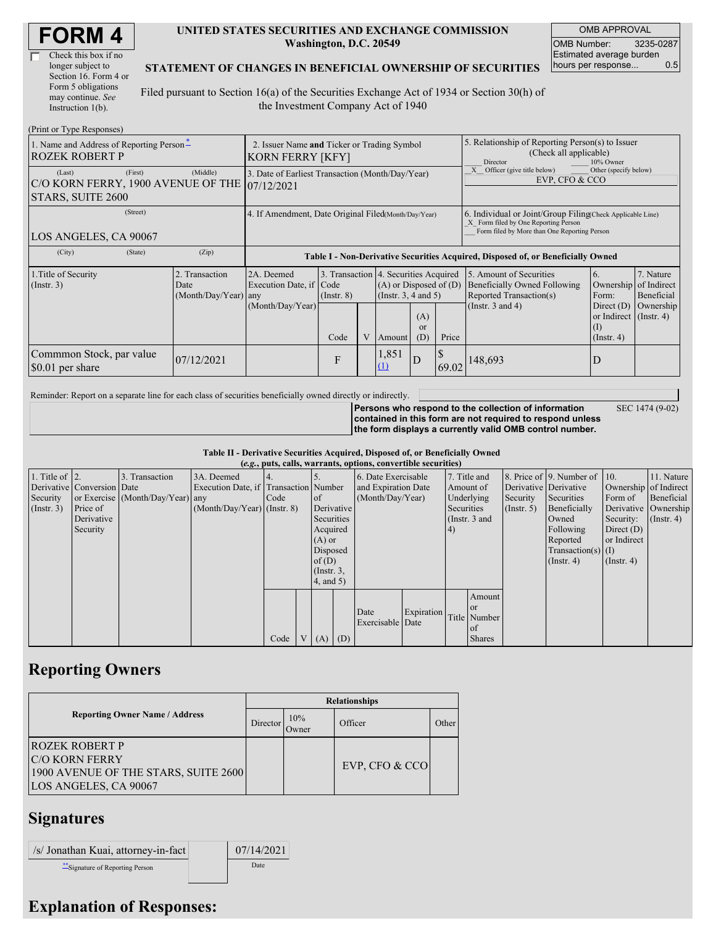| <b>FORM4</b> |
|--------------|
|--------------|

| Check this box if no  |
|-----------------------|
| longer subject to     |
| Section 16. Form 4 or |
| Form 5 obligations    |
| may continue. See     |
| Instruction 1(b).     |

#### **UNITED STATES SECURITIES AND EXCHANGE COMMISSION Washington, D.C. 20549**

OMB APPROVAL OMB Number: 3235-0287 Estimated average burden hours per response... 0.5

SEC 1474 (9-02)

### **STATEMENT OF CHANGES IN BENEFICIAL OWNERSHIP OF SECURITIES**

Filed pursuant to Section 16(a) of the Securities Exchange Act of 1934 or Section 30(h) of the Investment Company Act of 1940

| (Print or Type Responses)                                                    |                                                                        |                                                                                  |                                                                  |   |                                                              |                             |                                                                                                     |                                                                                                                                                    |                                                                                                     |                                                     |  |
|------------------------------------------------------------------------------|------------------------------------------------------------------------|----------------------------------------------------------------------------------|------------------------------------------------------------------|---|--------------------------------------------------------------|-----------------------------|-----------------------------------------------------------------------------------------------------|----------------------------------------------------------------------------------------------------------------------------------------------------|-----------------------------------------------------------------------------------------------------|-----------------------------------------------------|--|
| 1. Name and Address of Reporting Person-<br><b>ROZEK ROBERT P</b>            | 2. Issuer Name and Ticker or Trading Symbol<br><b>KORN FERRY [KFY]</b> |                                                                                  |                                                                  |   |                                                              |                             | 5. Relationship of Reporting Person(s) to Issuer<br>(Check all applicable)<br>Director<br>10% Owner |                                                                                                                                                    |                                                                                                     |                                                     |  |
| (First)<br>(Last)<br>C/O KORN FERRY, 1900 AVENUE OF THE<br>STARS, SUITE 2600 | 3. Date of Earliest Transaction (Month/Day/Year)<br>107/12/2021        |                                                                                  |                                                                  |   |                                                              |                             | Officer (give title below)<br>Other (specify below)<br>EVP, CFO & CCO                               |                                                                                                                                                    |                                                                                                     |                                                     |  |
| (Street)<br>LOS ANGELES, CA 90067                                            |                                                                        | 4. If Amendment, Date Original Filed(Month/Day/Year)                             |                                                                  |   |                                                              |                             |                                                                                                     | 6. Individual or Joint/Group Filing Check Applicable Line)<br>X Form filed by One Reporting Person<br>Form filed by More than One Reporting Person |                                                                                                     |                                                     |  |
| (City)<br>(State)                                                            | (Zip)                                                                  | Table I - Non-Derivative Securities Acquired, Disposed of, or Beneficially Owned |                                                                  |   |                                                              |                             |                                                                                                     |                                                                                                                                                    |                                                                                                     |                                                     |  |
| 1. Title of Security<br>$($ Instr. 3 $)$                                     | 2. Transaction<br>Date<br>(Month/Day/Year) any                         | 2A. Deemed<br>Execution Date, if Code<br>(Month/Day/Year)                        | 3. Transaction 4. Securities Acquired<br>$($ Instr. $8)$<br>Code | V | $(A)$ or Disposed of $(D)$<br>(Insert. 3, 4 and 5)<br>Amount | (A)<br><sub>or</sub><br>(D) | Price                                                                                               | 5. Amount of Securities<br>Beneficially Owned Following<br>Reported Transaction(s)<br>(Instr. $3$ and $4$ )                                        | 6.<br>Ownership<br>Form:<br>Direct $(D)$<br>or Indirect $($ Instr. 4 $)$<br>(1)<br>$($ Instr. 4 $)$ | 7. Nature<br>of Indirect<br>Beneficial<br>Ownership |  |
| Commmon Stock, par value<br>07/12/2021<br>\$0.01 per share                   |                                                                        |                                                                                  | F                                                                |   | 1,851<br>(1)                                                 | D                           | 69.02                                                                                               | 148,693                                                                                                                                            | D                                                                                                   |                                                     |  |

Reminder: Report on a separate line for each class of securities beneficially owned directly or indirectly.

**Persons who respond to the collection of information contained in this form are not required to respond unless the form displays a currently valid OMB control number.**

**Table II - Derivative Securities Acquired, Disposed of, or Beneficially Owned**

| (e.g., puts, calls, warrants, options, convertible securities) |                            |                                  |                                       |      |  |                 |                     |                     |            |               |               |             |                              |                       |                      |
|----------------------------------------------------------------|----------------------------|----------------------------------|---------------------------------------|------|--|-----------------|---------------------|---------------------|------------|---------------|---------------|-------------|------------------------------|-----------------------|----------------------|
| 1. Title of $\vert$ 2.                                         |                            | 3. Transaction                   | 3A. Deemed                            |      |  |                 |                     | 6. Date Exercisable |            |               | 7. Title and  |             | 8. Price of 9. Number of 10. |                       | 11. Nature           |
|                                                                | Derivative Conversion Date |                                  | Execution Date, if Transaction Number |      |  |                 | and Expiration Date |                     |            |               | Amount of     |             | Derivative Derivative        | Ownership of Indirect |                      |
| Security                                                       |                            | or Exercise (Month/Day/Year) any |                                       | Code |  | <sub>of</sub>   |                     | (Month/Day/Year)    |            |               | Underlying    | Security    | Securities                   | Form of               | Beneficial           |
| $($ Instr. 3 $)$                                               | Price of                   |                                  | $(Month/Day/Year)$ (Instr. 8)         |      |  | Derivative      |                     |                     |            |               | Securities    | (Insert, 5) | Beneficially                 |                       | Derivative Ownership |
|                                                                | Derivative                 |                                  |                                       |      |  | Securities      |                     |                     |            | (Instr. 3 and |               |             | Owned                        | Security:             | $($ Instr. 4)        |
|                                                                | Security                   |                                  |                                       |      |  | Acquired        |                     |                     |            | 4)            |               |             | Following                    | Direct $(D)$          |                      |
|                                                                |                            |                                  |                                       |      |  | $(A)$ or        |                     |                     |            |               |               |             | Reported                     | or Indirect           |                      |
|                                                                |                            |                                  |                                       |      |  | Disposed        |                     |                     |            |               |               |             | $Transaction(s)$ (I)         |                       |                      |
|                                                                |                            |                                  |                                       |      |  | of $(D)$        |                     |                     |            |               |               |             | $($ Instr. 4 $)$             | $($ Instr. 4)         |                      |
|                                                                |                            |                                  |                                       |      |  | $($ Instr. $3,$ |                     |                     |            |               |               |             |                              |                       |                      |
|                                                                |                            |                                  |                                       |      |  | $4$ , and $5$ ) |                     |                     |            |               |               |             |                              |                       |                      |
|                                                                |                            |                                  |                                       |      |  |                 |                     |                     |            |               | Amount        |             |                              |                       |                      |
|                                                                |                            |                                  |                                       |      |  |                 |                     |                     |            |               | <b>or</b>     |             |                              |                       |                      |
|                                                                |                            |                                  |                                       |      |  |                 |                     | Date                | Expiration |               | Title Number  |             |                              |                       |                      |
|                                                                |                            |                                  |                                       |      |  |                 |                     | Exercisable Date    |            |               | of            |             |                              |                       |                      |
|                                                                |                            |                                  |                                       | Code |  | V(A)            | (D)                 |                     |            |               | <b>Shares</b> |             |                              |                       |                      |

### **Reporting Owners**

|                                                                                                                 | <b>Relationships</b> |              |                  |       |  |  |  |  |  |
|-----------------------------------------------------------------------------------------------------------------|----------------------|--------------|------------------|-------|--|--|--|--|--|
| <b>Reporting Owner Name / Address</b>                                                                           | Director             | 10%<br>Owner | Officer          | Other |  |  |  |  |  |
| <b>ROZEK ROBERT P</b><br><b>C/O KORN FERRY</b><br>1900 AVENUE OF THE STARS, SUITE 2600<br>LOS ANGELES, CA 90067 |                      |              | EVP, CFO $&$ CCO |       |  |  |  |  |  |

# **Signatures**

| /s/ Jonathan Kuai, attorney-in-fact | 07/14/2021 |
|-------------------------------------|------------|
| ** Signature of Reporting Person    | Date       |

## **Explanation of Responses:**